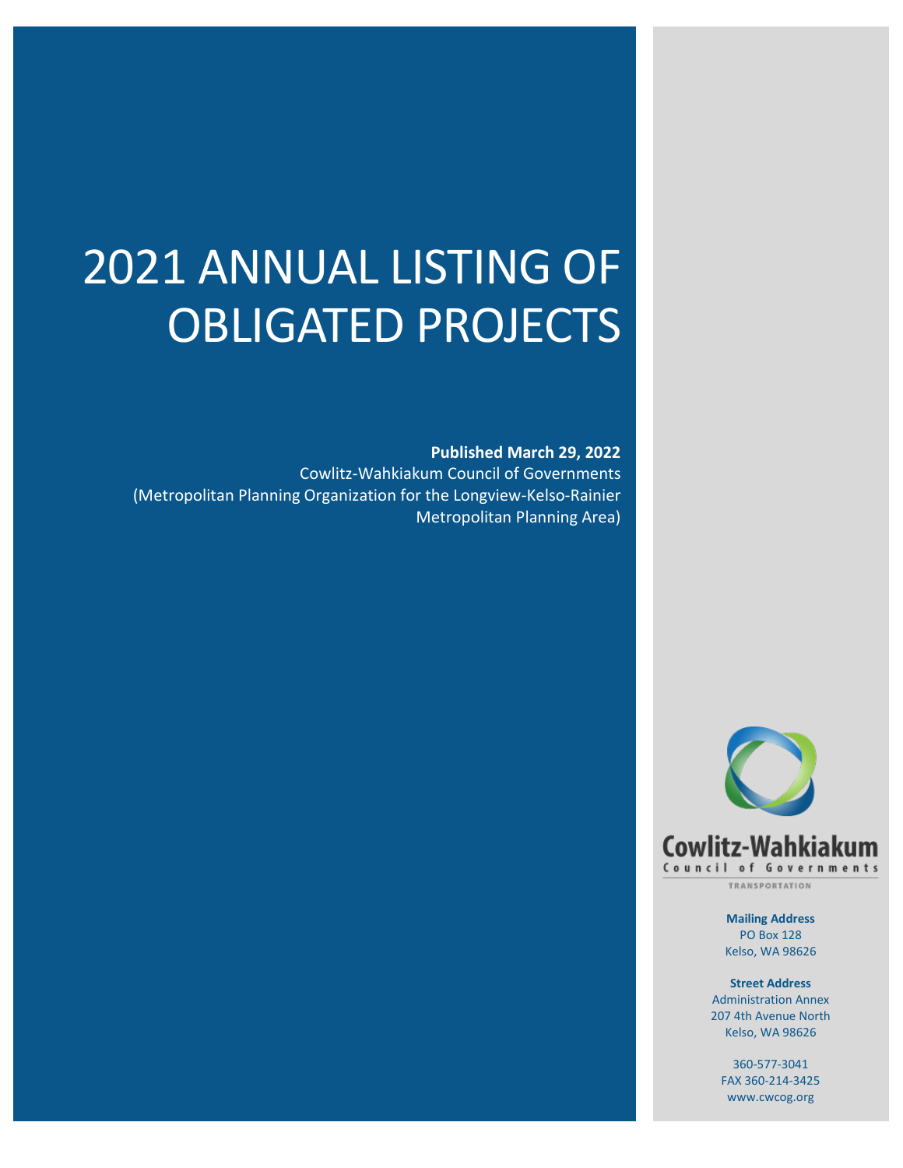# 2021 ANNUAL LISTING OF OBLIGATED PROJECTS

**Published March 29, 2022** Cowlitz-Wahkiakum Council of Governments (Metropolitan Planning Organization for the Longview-Kelso-Rainier Metropolitan Planning Area)



TRANSPORTATION

**Mailing Address** PO Box 128 Kelso, WA 98626

**Street Address** Administration Annex 207 4th Avenue North Kelso, WA 98626

360-577-3041 FAX 360-214-3425 www.cwcog.org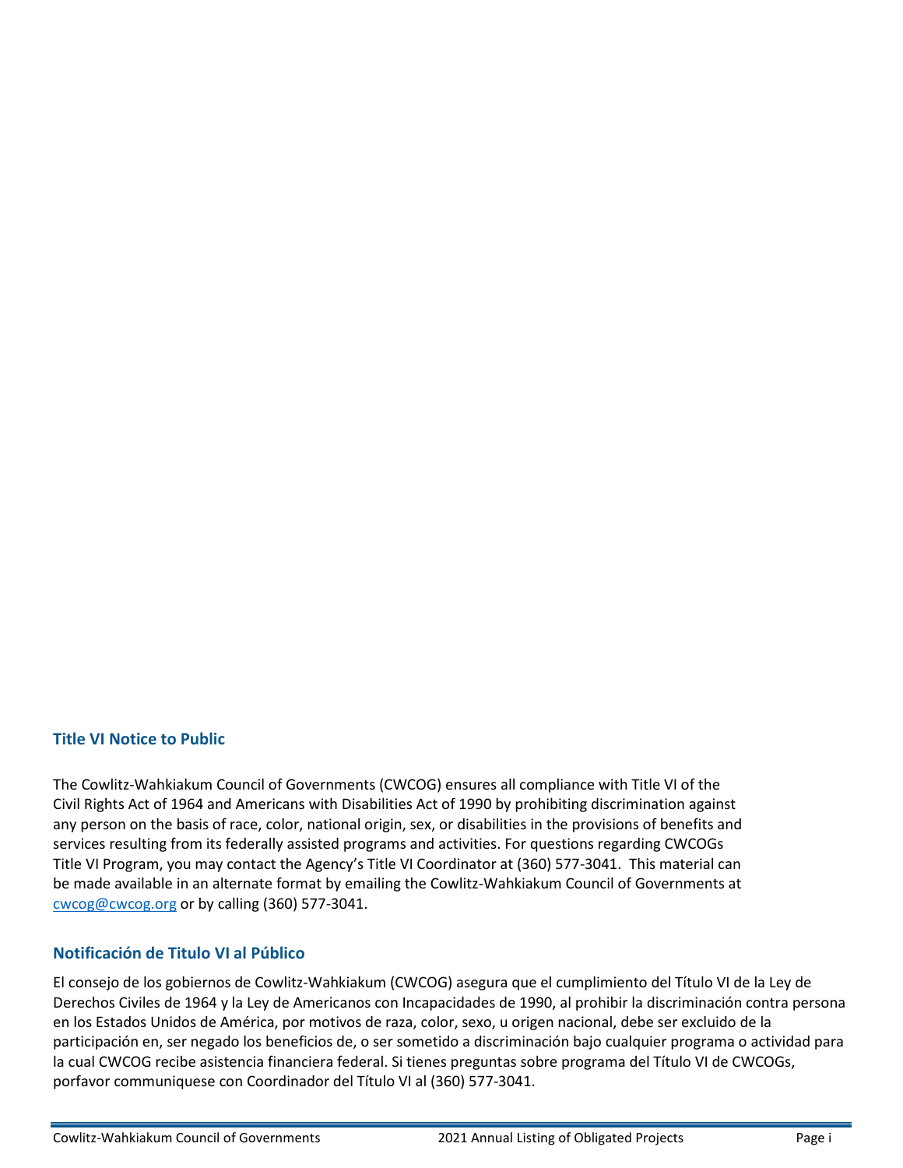#### **Title VI Notice to Public**

The Cowlitz-Wahkiakum Council of Governments (CWCOG) ensures all compliance with Title VI of the Civil Rights Act of 1964 and Americans with Disabilities Act of 1990 by prohibiting discrimination against any person on the basis of race, color, national origin, sex, or disabilities in the provisions of benefits and services resulting from its federally assisted programs and activities. For questions regarding CWCOGs Title VI Program, you may contact the Agency's Title VI Coordinator at (360) 577-3041. This material can be made available in an alternate format by emailing the Cowlitz-Wahkiakum Council of Governments at [cwcog@cwcog.org](mailto:cwcog@cwcog.org) or by calling (360) 577-3041.

#### **Notificación de Titulo VI al Público**

El consejo de los gobiernos de Cowlitz-Wahkiakum (CWCOG) asegura que el cumplimiento del Título VI de la Ley de Derechos Civiles de 1964 y la Ley de Americanos con Incapacidades de 1990, al prohibir la discriminación contra persona en los Estados Unidos de América, por motivos de raza, color, sexo, u origen nacional, debe ser excluido de la participación en, ser negado los beneficios de, o ser sometido a discriminación bajo cualquier programa o actividad para la cual CWCOG recibe asistencia financiera federal. Si tienes preguntas sobre programa del Título VI de CWCOGs, porfavor communiquese con Coordinador del Título VI al (360) 577-3041.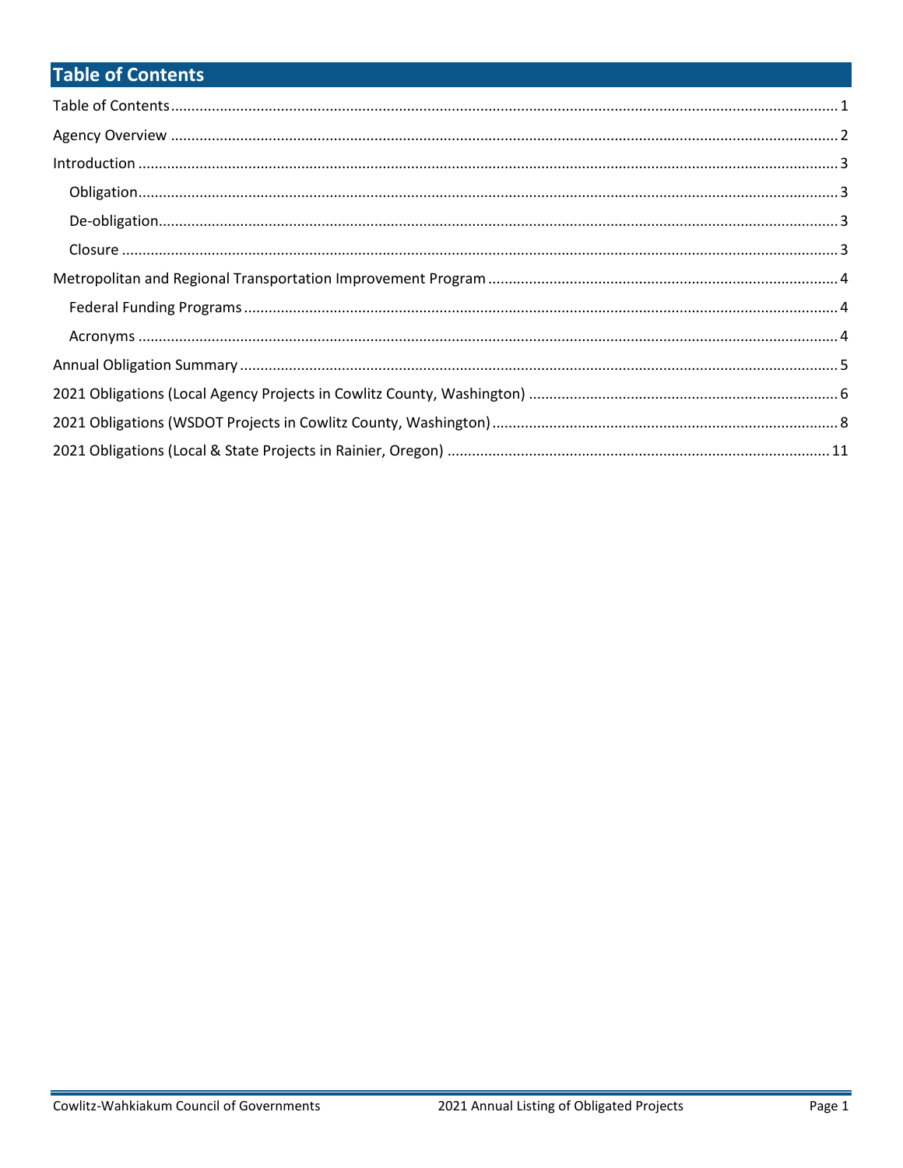# **Table of Contents**

| $\label{lem:1} \mbox{Introduction} \,\, \ldots \,\, \ldots \,\, \ldots \,\, \ldots \,\, \ldots \,\, \ldots \,\, \ldots \,\, \ldots \,\, \ldots \,\, \ldots \,\, \ldots \,\, \ldots \,\, \ldots \,\, \ldots \,\, \ldots \,\, \ldots \,\, \ldots \,\, \ldots \,\, \ldots \,\, \ldots \,\, \ldots \,\, \ldots \,\, \ldots \,\, \ldots \,\, \ldots \,\, \ldots \,\, \ldots \,\, \ldots \,\, \ldots \,\, \ldots \,\, \ldots \,\, \ldots \,\, \ldots \,\, \ldots \,\,$ |  |
|------------------------------------------------------------------------------------------------------------------------------------------------------------------------------------------------------------------------------------------------------------------------------------------------------------------------------------------------------------------------------------------------------------------------------------------------------------------|--|
|                                                                                                                                                                                                                                                                                                                                                                                                                                                                  |  |
|                                                                                                                                                                                                                                                                                                                                                                                                                                                                  |  |
|                                                                                                                                                                                                                                                                                                                                                                                                                                                                  |  |
|                                                                                                                                                                                                                                                                                                                                                                                                                                                                  |  |
|                                                                                                                                                                                                                                                                                                                                                                                                                                                                  |  |
|                                                                                                                                                                                                                                                                                                                                                                                                                                                                  |  |
|                                                                                                                                                                                                                                                                                                                                                                                                                                                                  |  |
|                                                                                                                                                                                                                                                                                                                                                                                                                                                                  |  |
|                                                                                                                                                                                                                                                                                                                                                                                                                                                                  |  |
|                                                                                                                                                                                                                                                                                                                                                                                                                                                                  |  |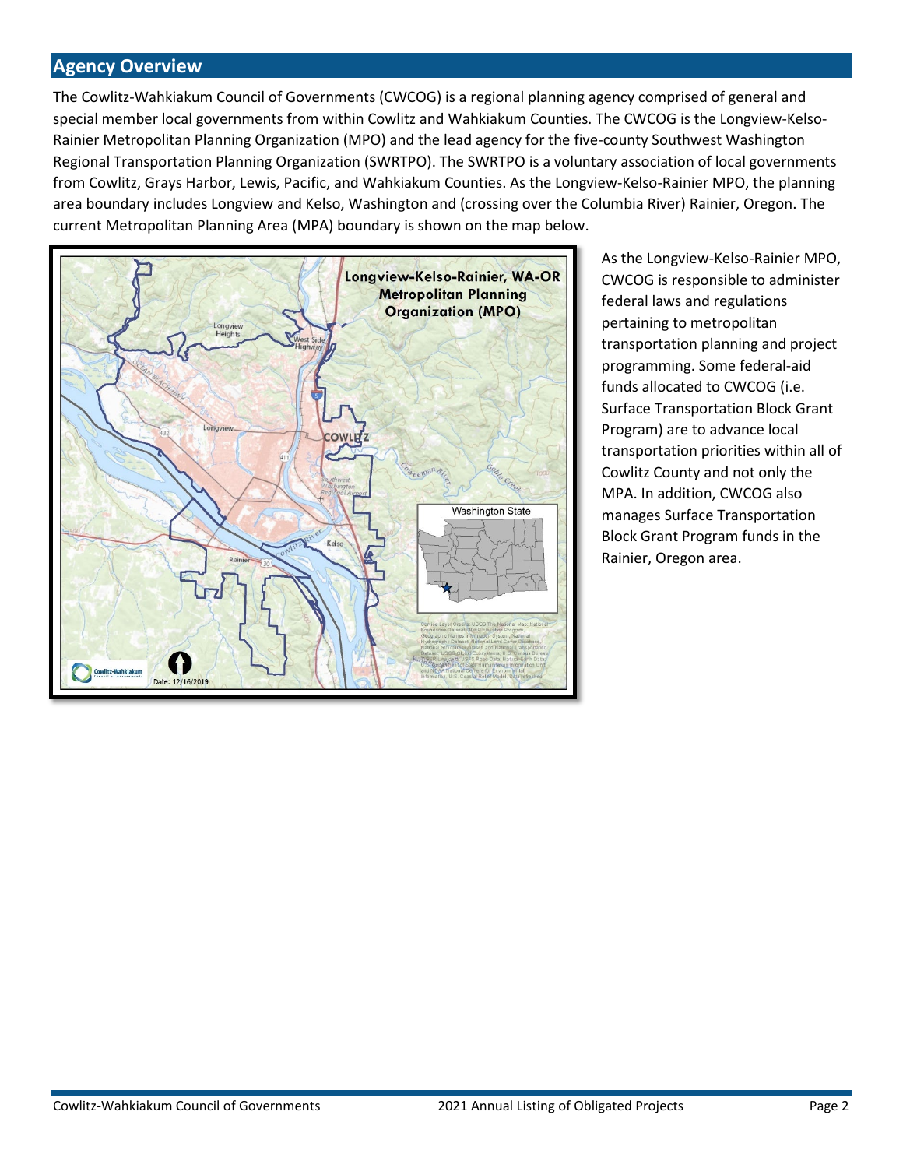#### **Agency Overview**

The Cowlitz-Wahkiakum Council of Governments (CWCOG) is a regional planning agency comprised of general and special member local governments from within Cowlitz and Wahkiakum Counties. The CWCOG is the Longview-Kelso-Rainier Metropolitan Planning Organization (MPO) and the lead agency for the five-county Southwest Washington Regional Transportation Planning Organization (SWRTPO). The SWRTPO is a voluntary association of local governments from Cowlitz, Grays Harbor, Lewis, Pacific, and Wahkiakum Counties. As the Longview-Kelso-Rainier MPO, the planning area boundary includes Longview and Kelso, Washington and (crossing over the Columbia River) Rainier, Oregon. The current Metropolitan Planning Area (MPA) boundary is shown on the map below.



As the Longview-Kelso-Rainier MPO, CWCOG is responsible to administer federal laws and regulations pertaining to metropolitan transportation planning and project programming. Some federal-aid funds allocated to CWCOG (i.e. Surface Transportation Block Grant Program) are to advance local transportation priorities within all of Cowlitz County and not only the MPA. In addition, CWCOG also manages Surface Transportation Block Grant Program funds in the Rainier, Oregon area.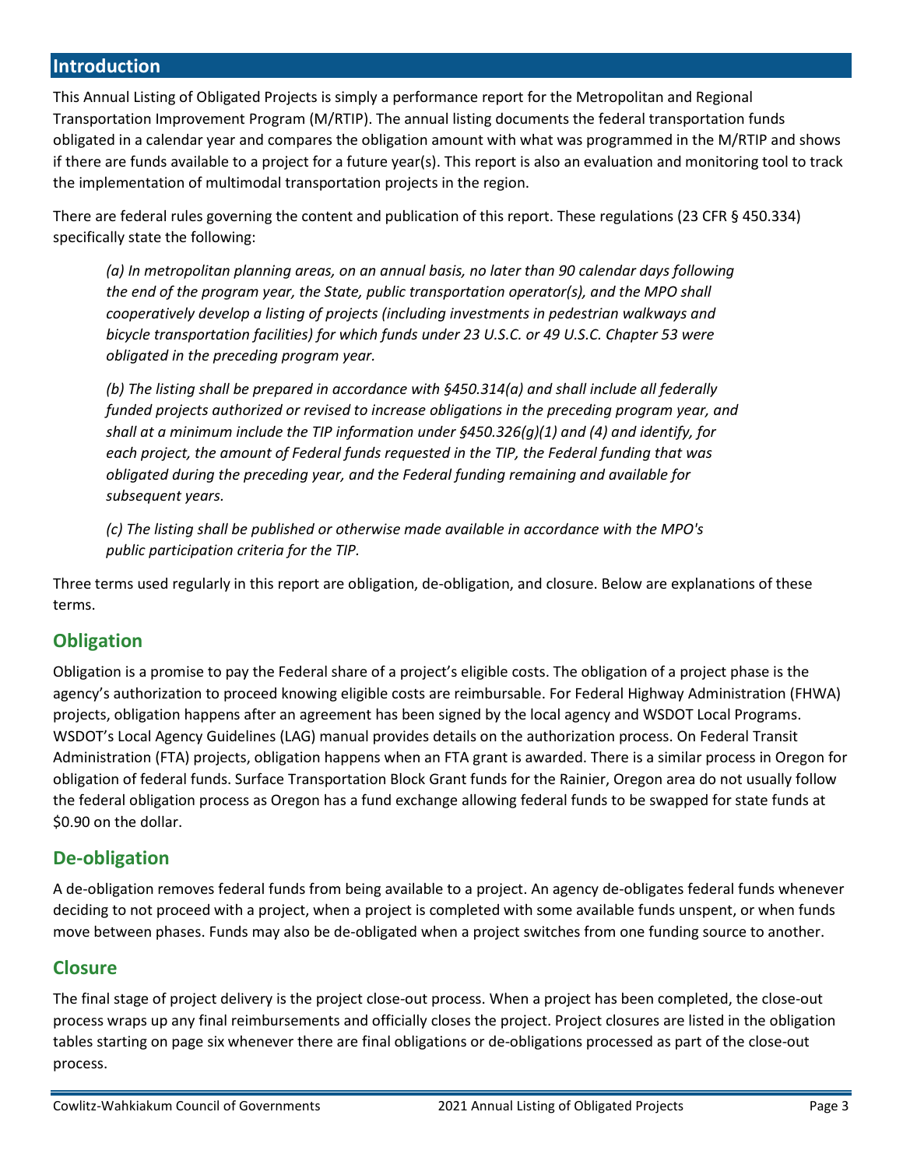#### **Introduction**

This Annual Listing of Obligated Projects is simply a performance report for the Metropolitan and Regional Transportation Improvement Program (M/RTIP). The annual listing documents the federal transportation funds obligated in a calendar year and compares the obligation amount with what was programmed in the M/RTIP and shows if there are funds available to a project for a future year(s). This report is also an evaluation and monitoring tool to track the implementation of multimodal transportation projects in the region.

There are federal rules governing the content and publication of this report. These regulations (23 CFR § 450.334) specifically state the following:

*(a) In metropolitan planning areas, on an annual basis, no later than 90 calendar days following the end of the program year, the State, public transportation operator(s), and the MPO shall cooperatively develop a listing of projects (including investments in pedestrian walkways and bicycle transportation facilities) for which funds under 23 U.S.C. or 49 U.S.C. Chapter 53 were obligated in the preceding program year.*

*(b) The listing shall be prepared in accordance with §450.314(a) and shall include all federally funded projects authorized or revised to increase obligations in the preceding program year, and shall at a minimum include the TIP information under §450.326(g)(1) and (4) and identify, for each project, the amount of Federal funds requested in the TIP, the Federal funding that was obligated during the preceding year, and the Federal funding remaining and available for subsequent years.*

*(c) The listing shall be published or otherwise made available in accordance with the MPO's public participation criteria for the TIP.*

Three terms used regularly in this report are obligation, de-obligation, and closure. Below are explanations of these terms.

#### **Obligation**

Obligation is a promise to pay the Federal share of a project's eligible costs. The obligation of a project phase is the agency's authorization to proceed knowing eligible costs are reimbursable. For Federal Highway Administration (FHWA) projects, obligation happens after an agreement has been signed by the local agency and WSDOT Local Programs. WSDOT's Local Agency Guidelines (LAG) manual provides details on the authorization process. On Federal Transit Administration (FTA) projects, obligation happens when an FTA grant is awarded. There is a similar process in Oregon for obligation of federal funds. Surface Transportation Block Grant funds for the Rainier, Oregon area do not usually follow the federal obligation process as Oregon has a fund exchange allowing federal funds to be swapped for state funds at \$0.90 on the dollar.

#### **De-obligation**

A de-obligation removes federal funds from being available to a project. An agency de-obligates federal funds whenever deciding to not proceed with a project, when a project is completed with some available funds unspent, or when funds move between phases. Funds may also be de-obligated when a project switches from one funding source to another.

#### **Closure**

The final stage of project delivery is the project close-out process. When a project has been completed, the close-out process wraps up any final reimbursements and officially closes the project. Project closures are listed in the obligation tables starting on page six whenever there are final obligations or de-obligations processed as part of the close-out process.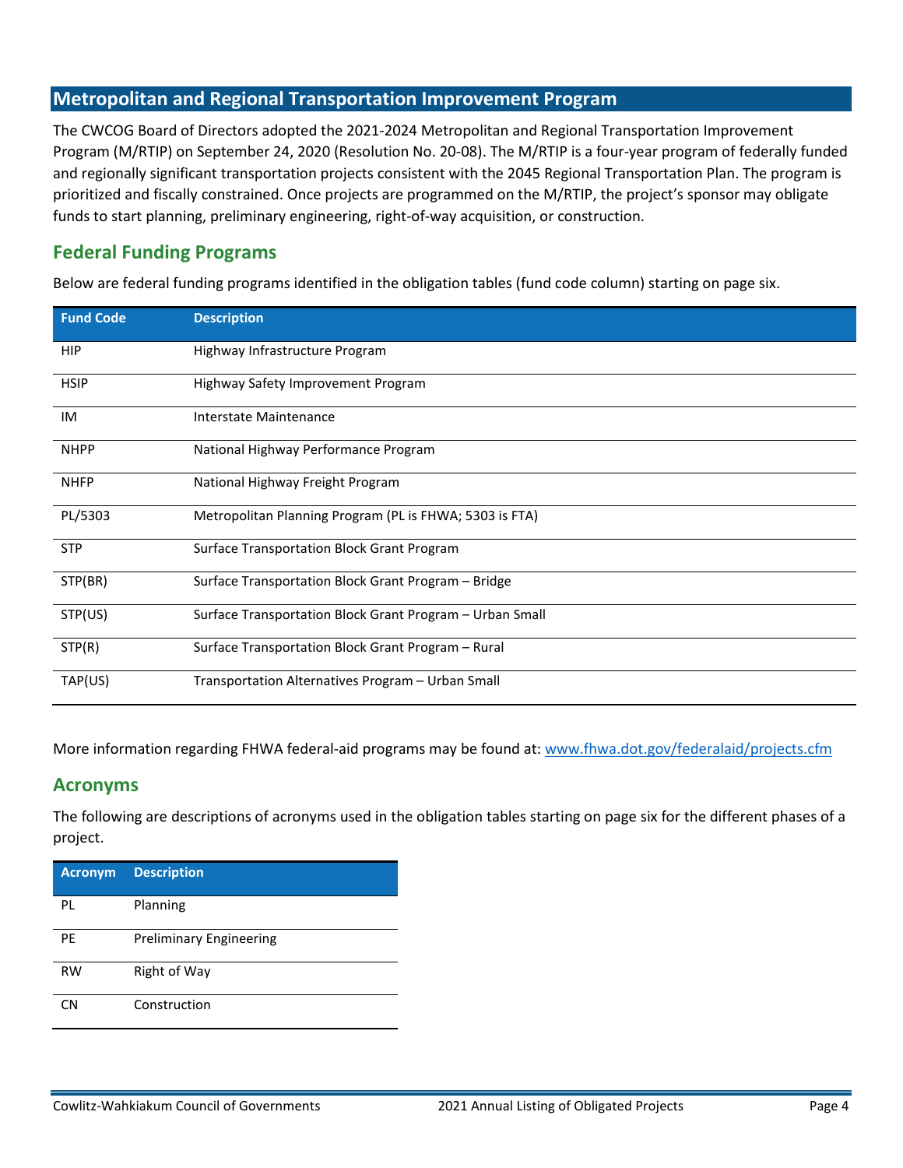#### **Metropolitan and Regional Transportation Improvement Program**

The CWCOG Board of Directors adopted the 2021-2024 Metropolitan and Regional Transportation Improvement Program (M/RTIP) on September 24, 2020 (Resolution No. 20-08). The M/RTIP is a four-year program of federally funded and regionally significant transportation projects consistent with the 2045 Regional Transportation Plan. The program is prioritized and fiscally constrained. Once projects are programmed on the M/RTIP, the project's sponsor may obligate funds to start planning, preliminary engineering, right-of-way acquisition, or construction.

#### **Federal Funding Programs**

Below are federal funding programs identified in the obligation tables (fund code column) starting on page six.

| <b>Fund Code</b> | <b>Description</b>                                       |
|------------------|----------------------------------------------------------|
| HIP              | Highway Infrastructure Program                           |
| <b>HSIP</b>      | Highway Safety Improvement Program                       |
| IM               | Interstate Maintenance                                   |
| <b>NHPP</b>      | National Highway Performance Program                     |
| <b>NHFP</b>      | National Highway Freight Program                         |
| PL/5303          | Metropolitan Planning Program (PL is FHWA; 5303 is FTA)  |
| <b>STP</b>       | Surface Transportation Block Grant Program               |
| STP(BR)          | Surface Transportation Block Grant Program - Bridge      |
| STP(US)          | Surface Transportation Block Grant Program - Urban Small |
| STP(R)           | Surface Transportation Block Grant Program - Rural       |
| TAP(US)          | Transportation Alternatives Program - Urban Small        |

More information regarding FHWA federal-aid programs may be found at[: www.fhwa.dot.gov/federalaid/projects.cfm](http://www.fhwa.dot.gov/federalaid/projects.cfm)

#### **Acronyms**

The following are descriptions of acronyms used in the obligation tables starting on page six for the different phases of a project.

| <b>Acronym</b> | <b>Description</b>             |
|----------------|--------------------------------|
| PL             | Planning                       |
| PE             | <b>Preliminary Engineering</b> |
| <b>RW</b>      | Right of Way                   |
| CΝ             | Construction                   |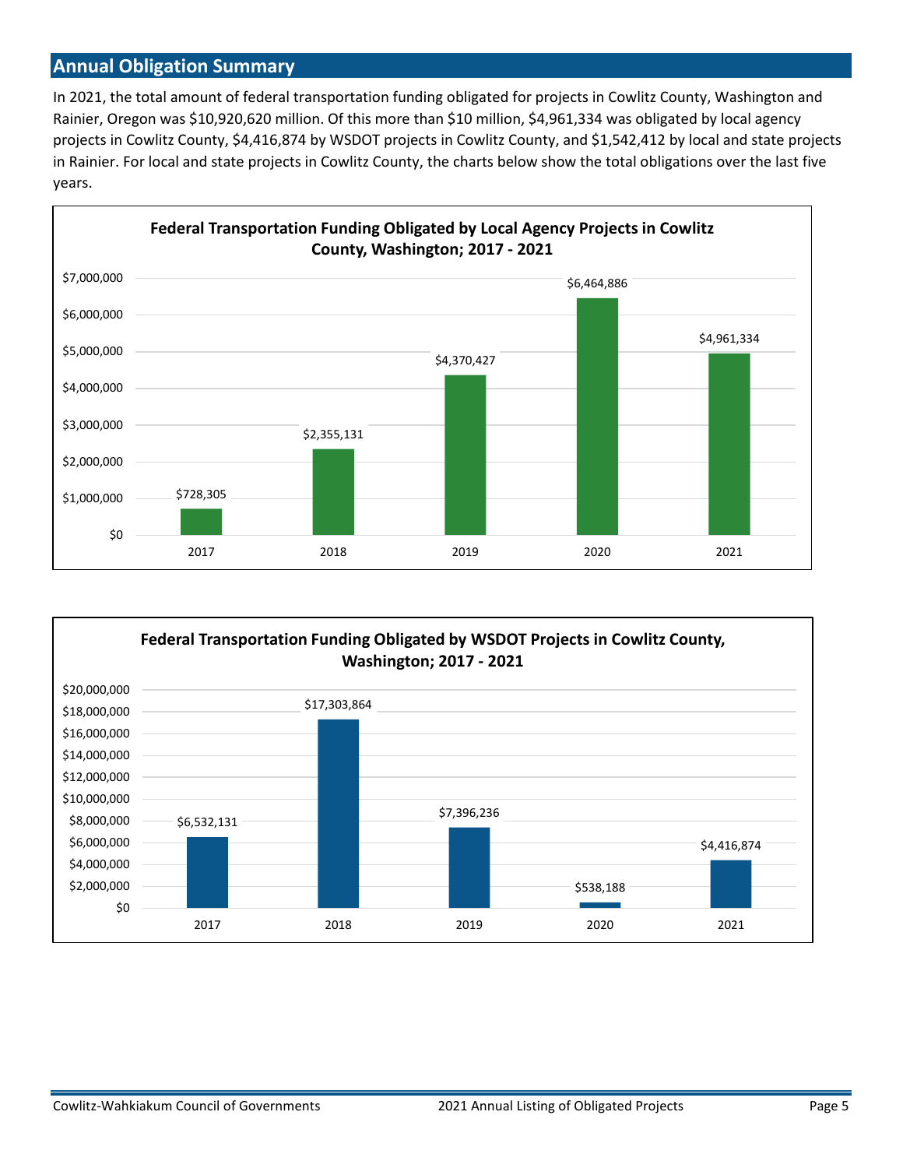#### **Annual Obligation Summary**

In 2021, the total amount of federal transportation funding obligated for projects in Cowlitz County, Washington and Rainier, Oregon was \$10,920,620 million. Of this more than \$10 million, \$4,961,334 was obligated by local agency projects in Cowlitz County, \$4,416,874 by WSDOT projects in Cowlitz County, and \$1,542,412 by local and state projects in Rainier. For local and state projects in Cowlitz County, the charts below show the total obligations over the last five years.



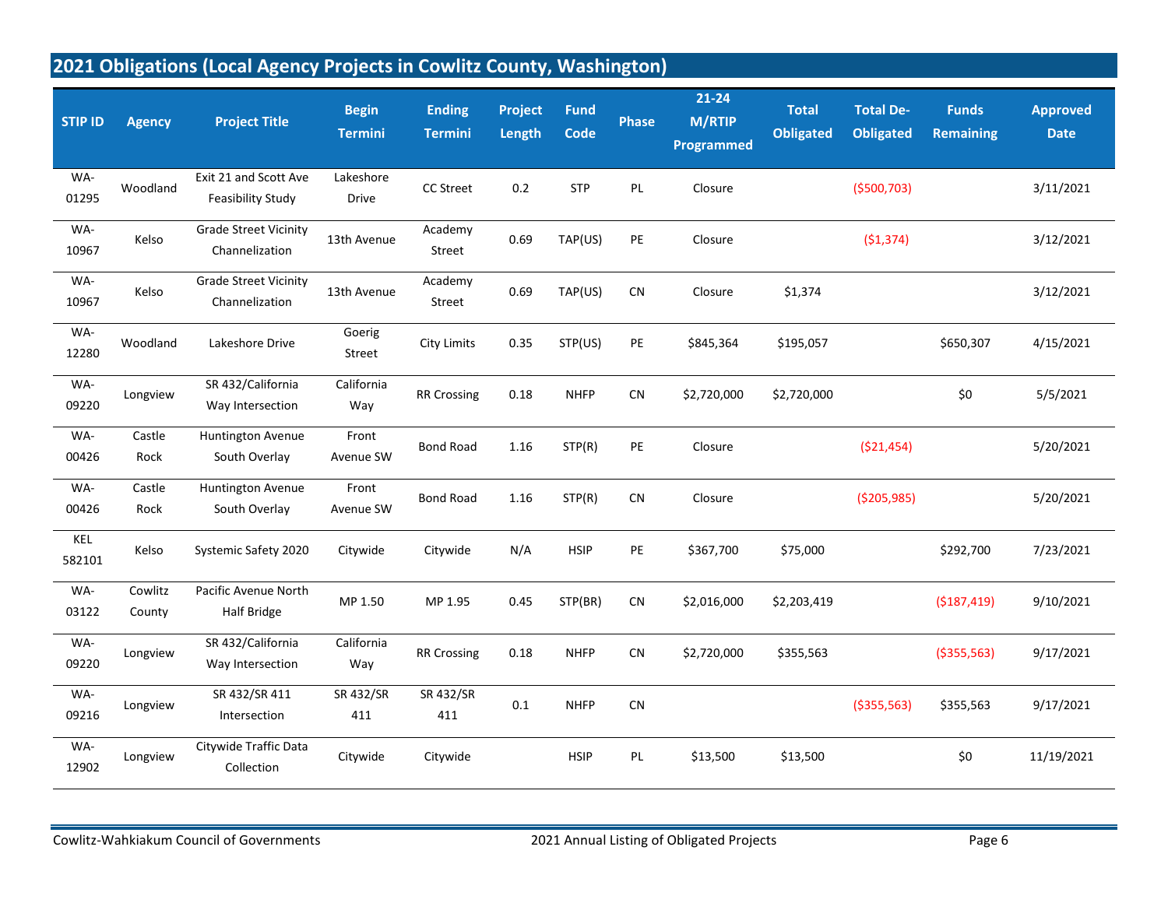# **2021 Obligations (Local Agency Projects in Cowlitz County, Washington)**

| <b>STIP ID</b> | <b>Agency</b>     | <b>Project Title</b>                           | <b>Begin</b><br><b>Termini</b> | <b>Ending</b><br><b>Termini</b> | Project<br>Length | <b>Fund</b><br>Code | <b>Phase</b> | $21 - 24$<br><b>M/RTIP</b><br>Programmed | <b>Total</b><br><b>Obligated</b> | <b>Total De-</b><br><b>Obligated</b> | <b>Funds</b><br><b>Remaining</b> | <b>Approved</b><br><b>Date</b> |
|----------------|-------------------|------------------------------------------------|--------------------------------|---------------------------------|-------------------|---------------------|--------------|------------------------------------------|----------------------------------|--------------------------------------|----------------------------------|--------------------------------|
| WA-<br>01295   | Woodland          | Exit 21 and Scott Ave<br>Feasibility Study     | Lakeshore<br>Drive             | CC Street                       | 0.2               | <b>STP</b>          | PL           | Closure                                  |                                  | ( \$500, 703)                        |                                  | 3/11/2021                      |
| WA-<br>10967   | Kelso             | <b>Grade Street Vicinity</b><br>Channelization | 13th Avenue                    | Academy<br>Street               | 0.69              | TAP(US)             | PE           | Closure                                  |                                  | (51, 374)                            |                                  | 3/12/2021                      |
| WA-<br>10967   | Kelso             | <b>Grade Street Vicinity</b><br>Channelization | 13th Avenue                    | Academy<br>Street               | 0.69              | TAP(US)             | ${\sf CN}$   | Closure                                  | \$1,374                          |                                      |                                  | 3/12/2021                      |
| WA-<br>12280   | Woodland          | Lakeshore Drive                                | Goerig<br>Street               | <b>City Limits</b>              | 0.35              | STP(US)             | PE           | \$845,364                                | \$195,057                        |                                      | \$650,307                        | 4/15/2021                      |
| WA-<br>09220   | Longview          | SR 432/California<br>Way Intersection          | California<br>Way              | <b>RR Crossing</b>              | 0.18              | <b>NHFP</b>         | CN           | \$2,720,000                              | \$2,720,000                      |                                      | \$0                              | 5/5/2021                       |
| WA-<br>00426   | Castle<br>Rock    | Huntington Avenue<br>South Overlay             | Front<br>Avenue SW             | <b>Bond Road</b>                | 1.16              | STP(R)              | PE           | Closure                                  |                                  | ( \$21,454)                          |                                  | 5/20/2021                      |
| WA-<br>00426   | Castle<br>Rock    | Huntington Avenue<br>South Overlay             | Front<br>Avenue SW             | <b>Bond Road</b>                | 1.16              | STP(R)              | CN           | Closure                                  |                                  | ( \$205, 985)                        |                                  | 5/20/2021                      |
| KEL<br>582101  | Kelso             | Systemic Safety 2020                           | Citywide                       | Citywide                        | N/A               | <b>HSIP</b>         | PE           | \$367,700                                | \$75,000                         |                                      | \$292,700                        | 7/23/2021                      |
| WA-<br>03122   | Cowlitz<br>County | Pacific Avenue North<br>Half Bridge            | MP 1.50                        | MP 1.95                         | 0.45              | STP(BR)             | ${\sf CN}$   | \$2,016,000                              | \$2,203,419                      |                                      | (\$187,419)                      | 9/10/2021                      |
| WA-<br>09220   | Longview          | SR 432/California<br>Way Intersection          | California<br>Way              | <b>RR Crossing</b>              | 0.18              | <b>NHFP</b>         | CN           | \$2,720,000                              | \$355,563                        |                                      | ( \$355, 563)                    | 9/17/2021                      |
| WA-<br>09216   | Longview          | SR 432/SR 411<br>Intersection                  | SR 432/SR<br>411               | SR 432/SR<br>411                | 0.1               | <b>NHFP</b>         | CN           |                                          |                                  | ( \$355, 563)                        | \$355,563                        | 9/17/2021                      |
| WA-<br>12902   | Longview          | Citywide Traffic Data<br>Collection            | Citywide                       | Citywide                        |                   | <b>HSIP</b>         | PL           | \$13,500                                 | \$13,500                         |                                      | \$0                              | 11/19/2021                     |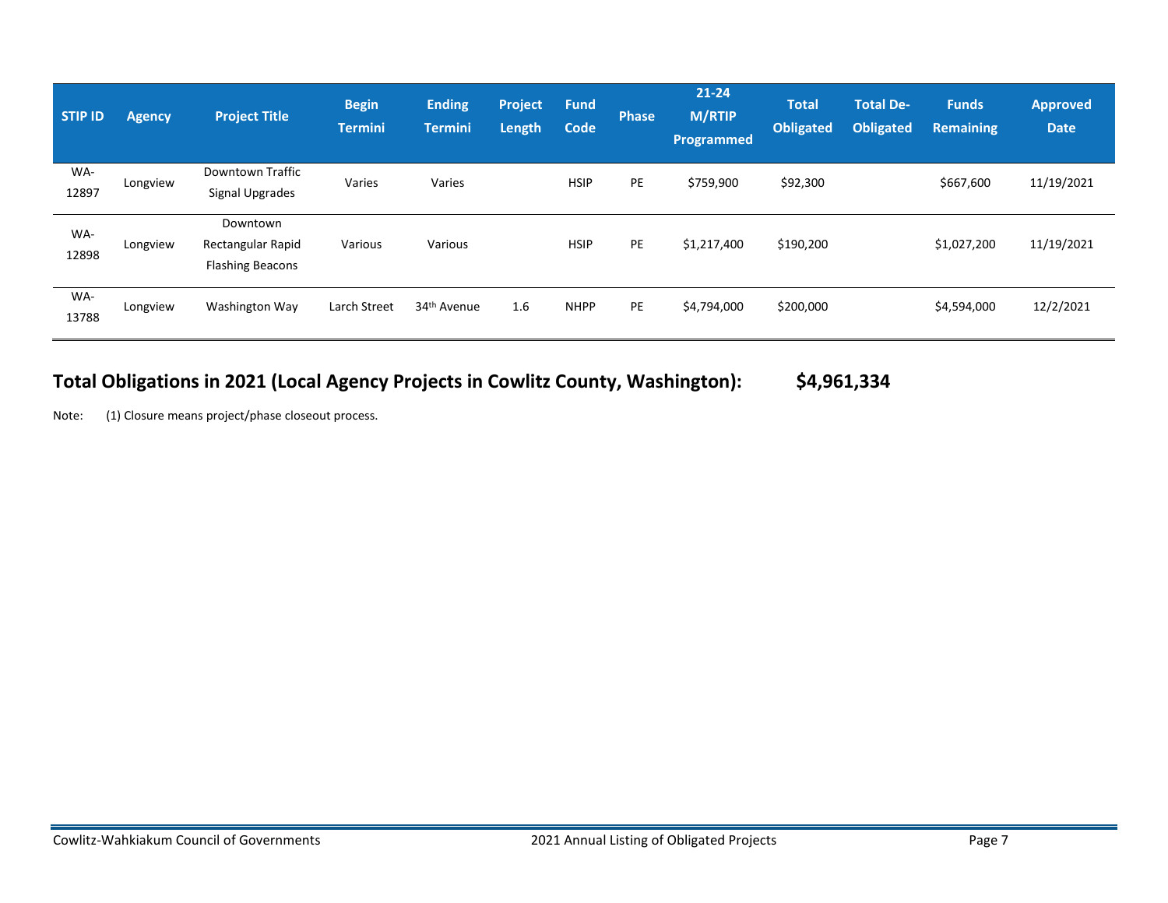| <b>STIP ID</b> | <b>Agency</b> | <b>Project Title</b>                                     | <b>Begin</b><br><b>Termini</b> | <b>Ending</b><br><b>Termini</b> | <b>Project</b><br><b>Length</b> | <b>Fund</b><br>Code | <b>Phase</b> | $21 - 24$<br><b>M/RTIP</b><br>Programmed | <b>Total</b><br><b>Obligated</b> | <b>Total De-</b><br><b>Obligated</b> | <b>Funds</b><br><b>Remaining</b> | <b>Approved</b><br><b>Date</b> |
|----------------|---------------|----------------------------------------------------------|--------------------------------|---------------------------------|---------------------------------|---------------------|--------------|------------------------------------------|----------------------------------|--------------------------------------|----------------------------------|--------------------------------|
| WA-<br>12897   | Longview      | Downtown Traffic<br>Signal Upgrades                      | Varies                         | Varies                          |                                 | <b>HSIP</b>         | PE           | \$759,900                                | \$92,300                         |                                      | \$667,600                        | 11/19/2021                     |
| WA-<br>12898   | Longview      | Downtown<br>Rectangular Rapid<br><b>Flashing Beacons</b> | Various                        | Various                         |                                 | <b>HSIP</b>         | PE           | \$1,217,400                              | \$190,200                        |                                      | \$1,027,200                      | 11/19/2021                     |
| WA-<br>13788   | Longview      | Washington Way                                           | Larch Street                   | 34 <sup>th</sup> Avenue         | 1.6                             | <b>NHPP</b>         | PE           | \$4,794,000                              | \$200,000                        |                                      | \$4,594,000                      | 12/2/2021                      |

# **Total Obligations in 2021 (Local Agency Projects in Cowlitz County, Washington): \$4,961,334**

Note: (1) Closure means project/phase closeout process.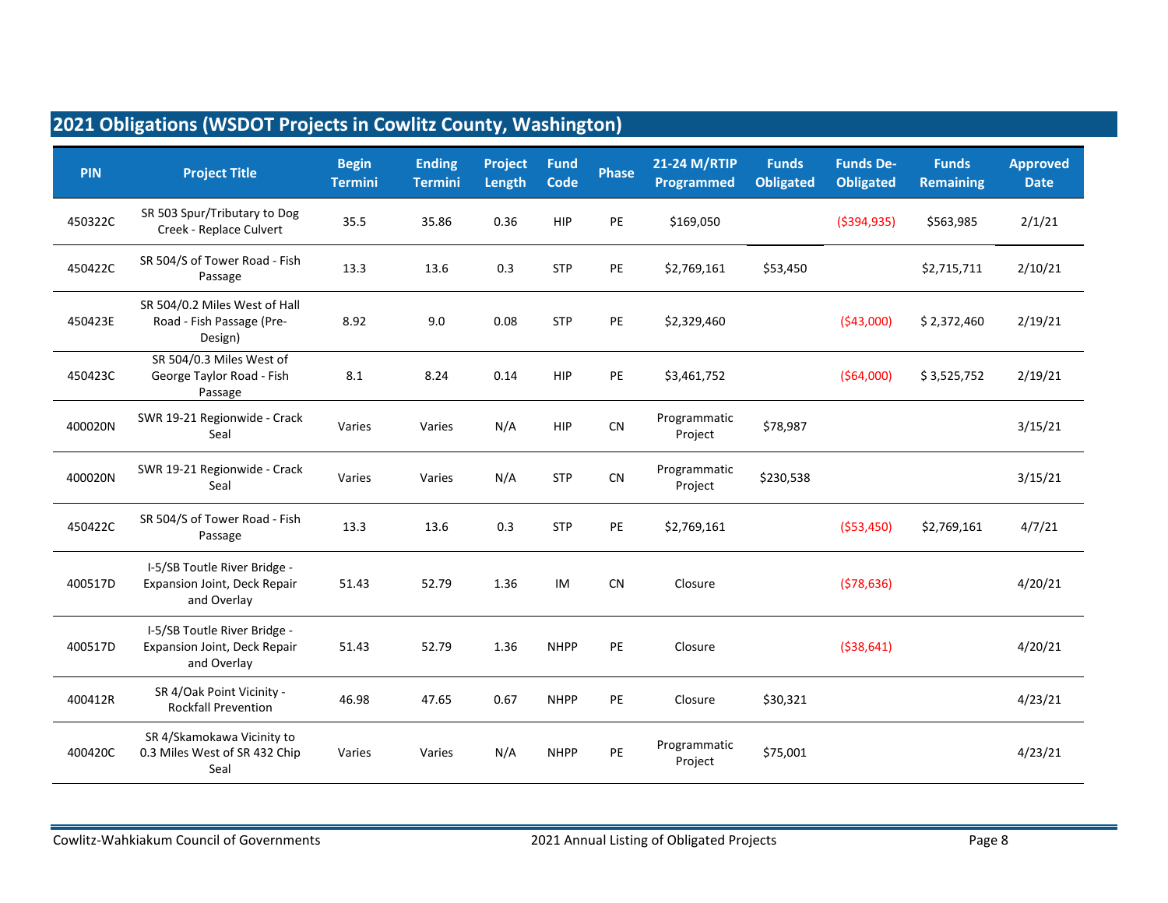| <b>PIN</b> | <b>Project Title</b>                                                        | <b>Begin</b><br><b>Termini</b> | <b>Ending</b><br><b>Termini</b> | Project<br>Length | <b>Fund</b><br>Code | <b>Phase</b> | 21-24 M/RTIP<br>Programmed | <b>Funds</b><br><b>Obligated</b> | <b>Funds De-</b><br><b>Obligated</b> | <b>Funds</b><br><b>Remaining</b> | <b>Approved</b><br><b>Date</b> |
|------------|-----------------------------------------------------------------------------|--------------------------------|---------------------------------|-------------------|---------------------|--------------|----------------------------|----------------------------------|--------------------------------------|----------------------------------|--------------------------------|
| 450322C    | SR 503 Spur/Tributary to Dog<br>Creek - Replace Culvert                     | 35.5                           | 35.86                           | 0.36              | <b>HIP</b>          | PE           | \$169,050                  |                                  | ( \$394, 935)                        | \$563,985                        | 2/1/21                         |
| 450422C    | SR 504/S of Tower Road - Fish<br>Passage                                    | 13.3                           | 13.6                            | 0.3               | <b>STP</b>          | PE           | \$2,769,161                | \$53,450                         |                                      | \$2,715,711                      | 2/10/21                        |
| 450423E    | SR 504/0.2 Miles West of Hall<br>Road - Fish Passage (Pre-<br>Design)       | 8.92                           | 9.0                             | 0.08              | <b>STP</b>          | PE           | \$2,329,460                |                                  | (543,000)                            | \$2,372,460                      | 2/19/21                        |
| 450423C    | SR 504/0.3 Miles West of<br>George Taylor Road - Fish<br>Passage            | 8.1                            | 8.24                            | 0.14              | <b>HIP</b>          | PE           | \$3,461,752                |                                  | ( \$64,000)                          | \$3,525,752                      | 2/19/21                        |
| 400020N    | SWR 19-21 Regionwide - Crack<br>Seal                                        | Varies                         | Varies                          | N/A               | <b>HIP</b>          | CN           | Programmatic<br>Project    | \$78,987                         |                                      |                                  | 3/15/21                        |
| 400020N    | SWR 19-21 Regionwide - Crack<br>Seal                                        | Varies                         | Varies                          | N/A               | <b>STP</b>          | ${\sf CN}$   | Programmatic<br>Project    | \$230,538                        |                                      |                                  | 3/15/21                        |
| 450422C    | SR 504/S of Tower Road - Fish<br>Passage                                    | 13.3                           | 13.6                            | 0.3               | <b>STP</b>          | PE           | \$2,769,161                |                                  | ( \$53,450)                          | \$2,769,161                      | 4/7/21                         |
| 400517D    | I-5/SB Toutle River Bridge -<br>Expansion Joint, Deck Repair<br>and Overlay | 51.43                          | 52.79                           | 1.36              | IM                  | <b>CN</b>    | Closure                    |                                  | (578, 636)                           |                                  | 4/20/21                        |
| 400517D    | I-5/SB Toutle River Bridge -<br>Expansion Joint, Deck Repair<br>and Overlay | 51.43                          | 52.79                           | 1.36              | <b>NHPP</b>         | PE           | Closure                    |                                  | ( \$38,641)                          |                                  | 4/20/21                        |
| 400412R    | SR 4/Oak Point Vicinity -<br><b>Rockfall Prevention</b>                     | 46.98                          | 47.65                           | 0.67              | <b>NHPP</b>         | PE           | Closure                    | \$30,321                         |                                      |                                  | 4/23/21                        |
| 400420C    | SR 4/Skamokawa Vicinity to<br>0.3 Miles West of SR 432 Chip<br>Seal         | Varies                         | Varies                          | N/A               | <b>NHPP</b>         | PE           | Programmatic<br>Project    | \$75,001                         |                                      |                                  | 4/23/21                        |

### **2021 Obligations (WSDOT Projects in Cowlitz County, Washington)**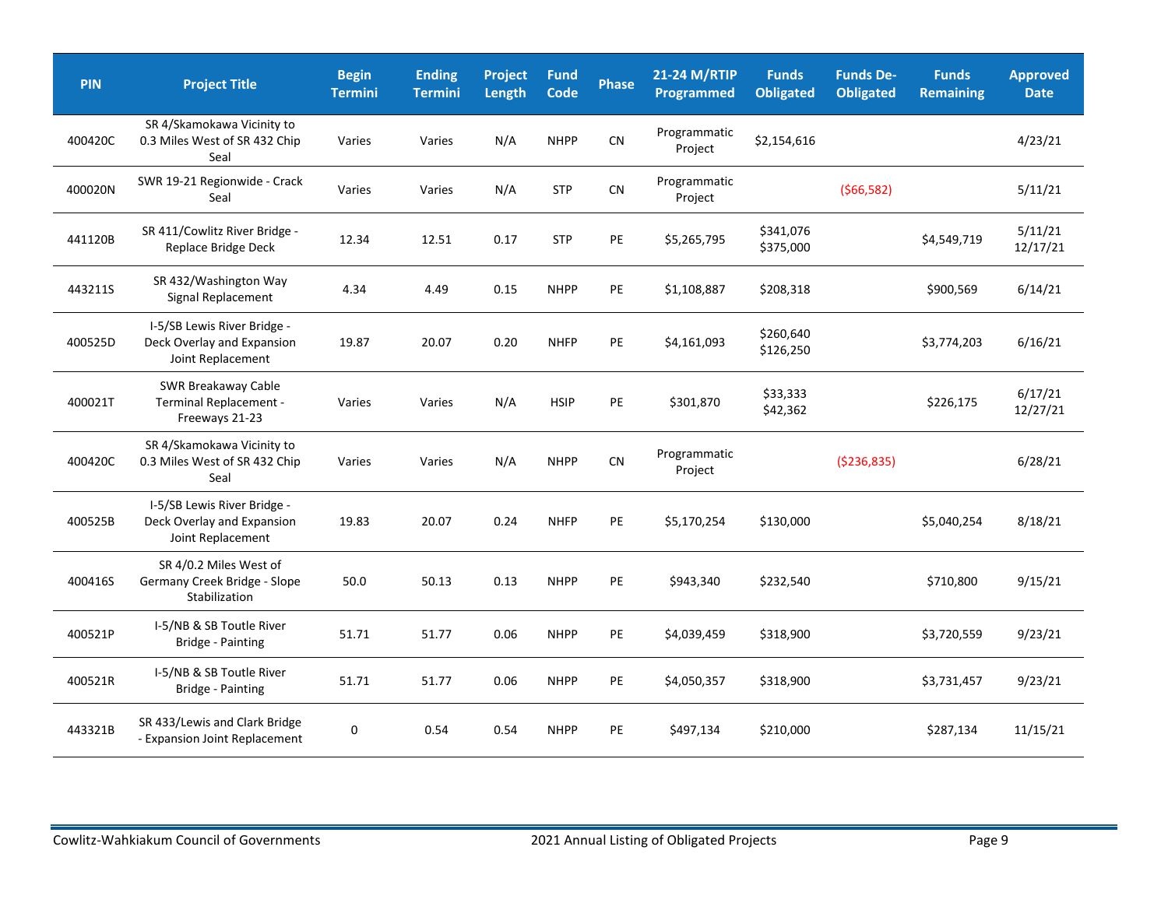| <b>PIN</b> | <b>Project Title</b>                                                           | <b>Begin</b><br><b>Termini</b> | <b>Ending</b><br><b>Termini</b> | Project<br>Length | <b>Fund</b><br><b>Code</b> | <b>Phase</b> | 21-24 M/RTIP<br>Programmed | <b>Funds</b><br><b>Obligated</b> | <b>Funds De-</b><br><b>Obligated</b> | <b>Funds</b><br><b>Remaining</b> | <b>Approved</b><br><b>Date</b> |
|------------|--------------------------------------------------------------------------------|--------------------------------|---------------------------------|-------------------|----------------------------|--------------|----------------------------|----------------------------------|--------------------------------------|----------------------------------|--------------------------------|
| 400420C    | SR 4/Skamokawa Vicinity to<br>0.3 Miles West of SR 432 Chip<br>Seal            | Varies                         | Varies                          | N/A               | <b>NHPP</b>                | ${\sf CN}$   | Programmatic<br>Project    | \$2,154,616                      |                                      |                                  | 4/23/21                        |
| 400020N    | SWR 19-21 Regionwide - Crack<br>Seal                                           | Varies                         | Varies                          | N/A               | <b>STP</b>                 | CN           | Programmatic<br>Project    |                                  | ( \$66, 582)                         |                                  | 5/11/21                        |
| 441120B    | SR 411/Cowlitz River Bridge -<br>Replace Bridge Deck                           | 12.34                          | 12.51                           | 0.17              | <b>STP</b>                 | PE           | \$5,265,795                | \$341,076<br>\$375,000           |                                      | \$4,549,719                      | 5/11/21<br>12/17/21            |
| 443211S    | SR 432/Washington Way<br>Signal Replacement                                    | 4.34                           | 4.49                            | 0.15              | <b>NHPP</b>                | PE           | \$1,108,887                | \$208,318                        |                                      | \$900,569                        | 6/14/21                        |
| 400525D    | I-5/SB Lewis River Bridge -<br>Deck Overlay and Expansion<br>Joint Replacement | 19.87                          | 20.07                           | 0.20              | <b>NHFP</b>                | PE           | \$4,161,093                | \$260,640<br>\$126,250           |                                      | \$3,774,203                      | 6/16/21                        |
| 400021T    | <b>SWR Breakaway Cable</b><br>Terminal Replacement -<br>Freeways 21-23         | Varies                         | Varies                          | N/A               | <b>HSIP</b>                | PE           | \$301,870                  | \$33,333<br>\$42,362             |                                      | \$226,175                        | 6/17/21<br>12/27/21            |
| 400420C    | SR 4/Skamokawa Vicinity to<br>0.3 Miles West of SR 432 Chip<br>Seal            | Varies                         | Varies                          | N/A               | <b>NHPP</b>                | CN           | Programmatic<br>Project    |                                  | ( \$236, 835)                        |                                  | 6/28/21                        |
| 400525B    | I-5/SB Lewis River Bridge -<br>Deck Overlay and Expansion<br>Joint Replacement | 19.83                          | 20.07                           | 0.24              | <b>NHFP</b>                | PE           | \$5,170,254                | \$130,000                        |                                      | \$5,040,254                      | 8/18/21                        |
| 400416S    | SR 4/0.2 Miles West of<br>Germany Creek Bridge - Slope<br>Stabilization        | 50.0                           | 50.13                           | 0.13              | <b>NHPP</b>                | PE           | \$943,340                  | \$232,540                        |                                      | \$710,800                        | 9/15/21                        |
| 400521P    | I-5/NB & SB Toutle River<br>Bridge - Painting                                  | 51.71                          | 51.77                           | 0.06              | <b>NHPP</b>                | PE           | \$4,039,459                | \$318,900                        |                                      | \$3,720,559                      | 9/23/21                        |
| 400521R    | I-5/NB & SB Toutle River<br>Bridge - Painting                                  | 51.71                          | 51.77                           | 0.06              | <b>NHPP</b>                | PE           | \$4,050,357                | \$318,900                        |                                      | \$3,731,457                      | 9/23/21                        |
| 443321B    | SR 433/Lewis and Clark Bridge<br>- Expansion Joint Replacement                 | 0                              | 0.54                            | 0.54              | <b>NHPP</b>                | PE           | \$497,134                  | \$210,000                        |                                      | \$287,134                        | 11/15/21                       |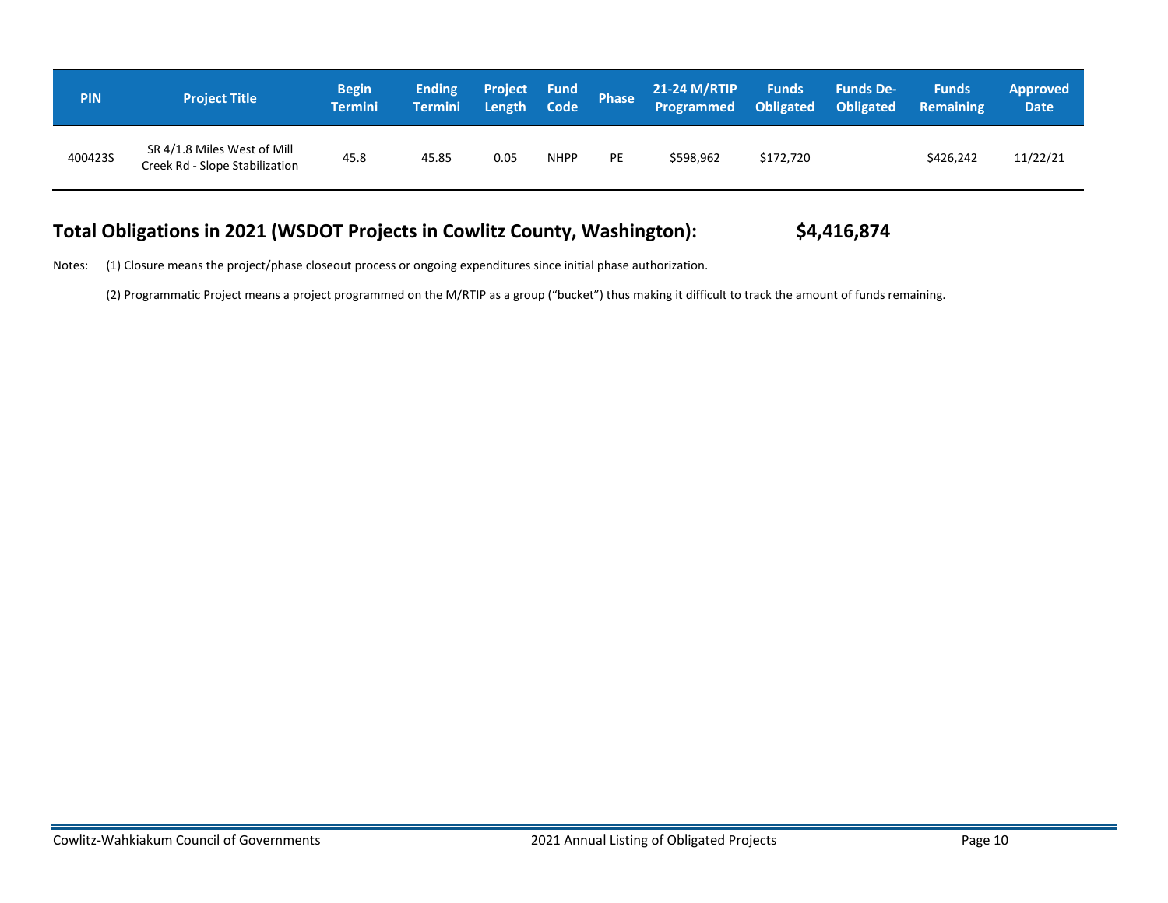| <b>PIN</b> | <b>Project Title</b>                                          | <b>Begin</b><br><b>Termini</b> | <b>Ending</b><br><b>Termini</b> | <b>Project Fund</b><br>Length | Code        | Phase | <b>21-24 M/RTIP</b><br>Programmed | <b>Funds</b><br>Obligated | <b>Funds De-</b><br>Obligated | <b>Funds</b><br><b>Remaining</b> | <b>Approved</b><br>Date <sup>1</sup> |
|------------|---------------------------------------------------------------|--------------------------------|---------------------------------|-------------------------------|-------------|-------|-----------------------------------|---------------------------|-------------------------------|----------------------------------|--------------------------------------|
| 400423S    | SR 4/1.8 Miles West of Mill<br>Creek Rd - Slope Stabilization | 45.8                           | 45.85                           | 0.05                          | <b>NHPP</b> | PE    | \$598,962                         | \$172.720                 |                               | \$426,242                        | 11/22/21                             |

## **Total Obligations in 2021 (WSDOT Projects in Cowlitz County, Washington): \$4,416,874**

Notes: (1) Closure means the project/phase closeout process or ongoing expenditures since initial phase authorization.

(2) Programmatic Project means a project programmed on the M/RTIP as a group ("bucket") thus making it difficult to track the amount of funds remaining.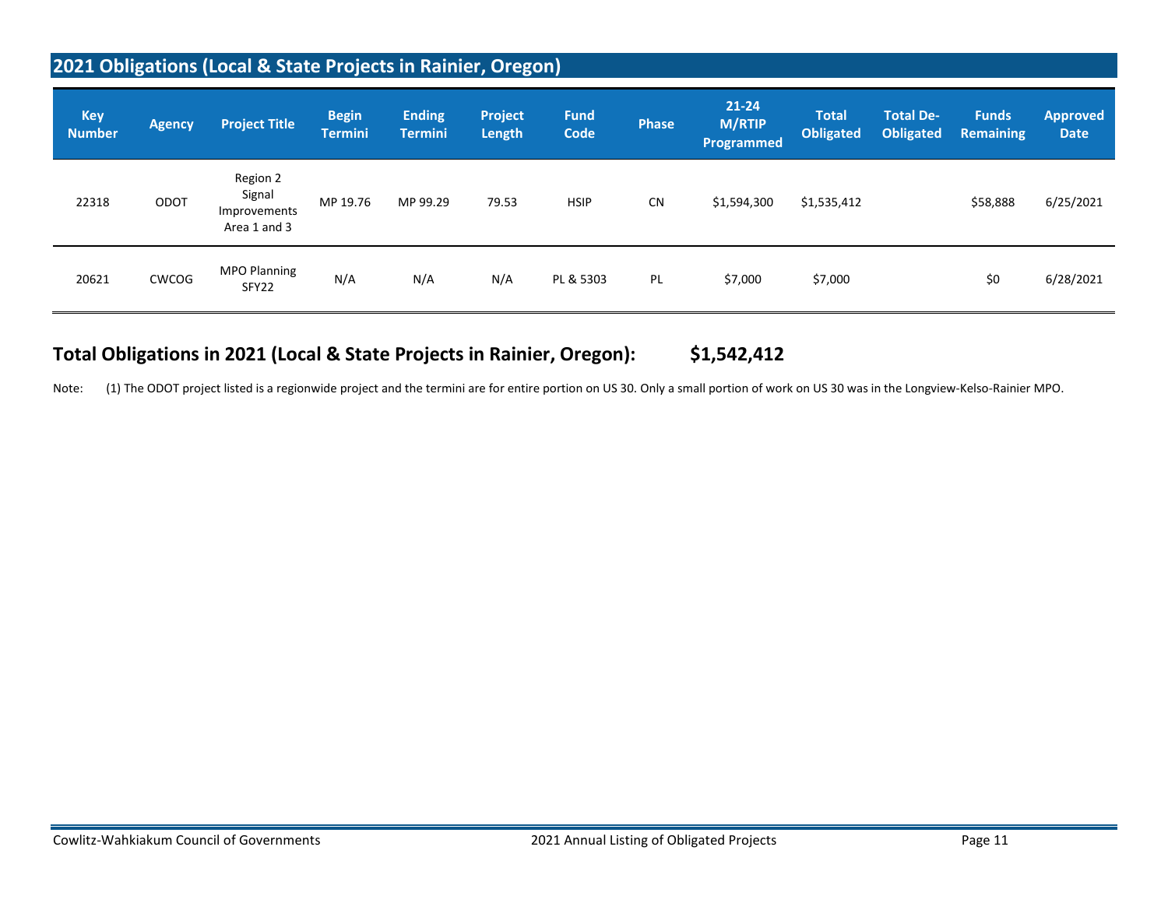## **2021 Obligations (Local & State Projects in Rainier, Oregon)**

| <b>Key</b><br><b>Number</b> | <b>Agency</b> | <b>Project Title</b>                               | <b>Begin</b><br><b>Termini</b> | <b>Ending</b><br><b>Termini</b> | <b>Project</b><br><b>Length</b> | <b>Fund</b><br>Code | Phase     | $21 - 24$<br><b>M/RTIP</b><br>Programmed | <b>Total</b><br><b>Obligated</b> | <b>Total De-</b><br><b>Obligated</b> | <b>Funds</b><br><b>Remaining</b> | <b>Approved</b><br><b>Date</b> |
|-----------------------------|---------------|----------------------------------------------------|--------------------------------|---------------------------------|---------------------------------|---------------------|-----------|------------------------------------------|----------------------------------|--------------------------------------|----------------------------------|--------------------------------|
| 22318                       | ODOT          | Region 2<br>Signal<br>Improvements<br>Area 1 and 3 | MP 19.76                       | MP 99.29                        | 79.53                           | <b>HSIP</b>         | <b>CN</b> | \$1,594,300                              | \$1,535,412                      |                                      | \$58,888                         | 6/25/2021                      |
| 20621                       | CWCOG         | <b>MPO Planning</b><br>SFY22                       | N/A                            | N/A                             | N/A                             | PL & 5303           | PL        | \$7,000                                  | \$7,000                          |                                      | \$0                              | 6/28/2021                      |

## **Total Obligations in 2021 (Local & State Projects in Rainier, Oregon): \$1,542,412**

Note: (1) The ODOT project listed is a regionwide project and the termini are for entire portion on US 30. Only a small portion of work on US 30 was in the Longview-Kelso-Rainier MPO.